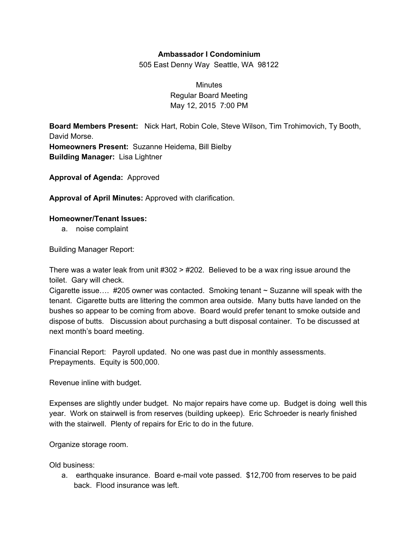## **Ambassador I Condominium**

505 East Denny Way Seattle, WA 98122

**Minutes** Regular Board Meeting May 12, 2015 7:00 PM

**Board Members Present:** Nick Hart, Robin Cole, Steve Wilson, Tim Trohimovich, Ty Booth, David Morse. **Homeowners Present:** Suzanne Heidema, Bill Bielby **Building Manager:** Lisa Lightner

**Approval of Agenda:** Approved

**Approval of April Minutes:** Approved with clarification.

## **Homeowner/Tenant Issues:**

a. noise complaint

Building Manager Report:

There was a water leak from unit  $\#302 > \#202$ . Believed to be a wax ring issue around the toilet. Gary will check.

Cigarette issue....  $#205$  owner was contacted. Smoking tenant  $\sim$  Suzanne will speak with the tenant. Cigarette butts are littering the common area outside. Many butts have landed on the bushes so appear to be coming from above. Board would prefer tenant to smoke outside and dispose of butts. Discussion about purchasing a butt disposal container. To be discussed at next month's board meeting.

Financial Report: Payroll updated. No one was past due in monthly assessments. Prepayments. Equity is 500,000.

Revenue inline with budget.

Expenses are slightly under budget. No major repairs have come up. Budget is doing well this year. Work on stairwell is from reserves (building upkeep). Eric Schroeder is nearly finished with the stairwell. Plenty of repairs for Eric to do in the future.

Organize storage room.

Old business:

a. earthquake insurance. Board e-mail vote passed. \$12,700 from reserves to be paid back. Flood insurance was left.